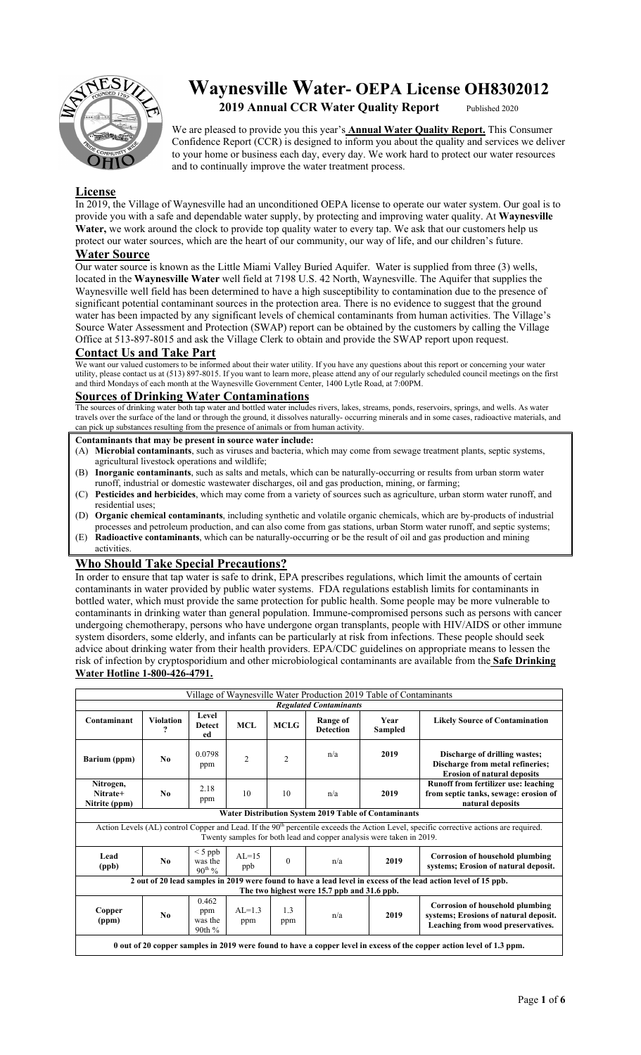

# **Waynesville Water- OEPA License OH8302012**  2019 **Annual CCR Water Quality Report** Published 2020

We are pleased to provide you this year's **Annual Water Quality Report.** This Consumer Confidence Report (CCR) is designed to inform you about the quality and services we deliver to your home or business each day, every day. We work hard to protect our water resources and to continually improve the water treatment process.

#### **License**

In 2019, the Village of Waynesville had an unconditioned OEPA license to operate our water system. Our goal is to provide you with a safe and dependable water supply, by protecting and improving water quality. At **Waynesville Water,** we work around the clock to provide top quality water to every tap. We ask that our customers help us protect our water sources, which are the heart of our community, our way of life, and our children's future.

### **Water Source**

Our water source is known as the Little Miami Valley Buried Aquifer. Water is supplied from three (3) wells, located in the **Waynesville Water** well field at 7198 U.S. 42 North, Waynesville. The Aquifer that supplies the Waynesville well field has been determined to have a high susceptibility to contamination due to the presence of significant potential contaminant sources in the protection area. There is no evidence to suggest that the ground water has been impacted by any significant levels of chemical contaminants from human activities. The Village's Source Water Assessment and Protection (SWAP) report can be obtained by the customers by calling the Village Office at 513-897-8015 and ask the Village Clerk to obtain and provide the SWAP report upon request.

#### **Contact Us and Take Part**

We want our valued customers to be informed about their water utility. If you have any questions about this report or concerning your water utility, please contact us at (513) 897-8015. If you want to learn more, please attend any of our regularly scheduled council meetings on the first and third Mondays of each month at the Waynesville Government Center, 1400 Lytle Road, at 7:00PM.

#### **Sources of Drinking Water Contaminations**

The sources of drinking water both tap water and bottled water includes rivers, lakes, streams, ponds, reservoirs, springs, and wells. As water travels over the surface of the land or through the ground, it dissolves naturally- occurring minerals and in some cases, radioactive materials, and can pick up substances resulting from the presence of animals or from human activity.

#### **Contaminants that may be present in source water include:**

- (A) **Microbial contaminants**, such as viruses and bacteria, which may come from sewage treatment plants, septic systems, agricultural livestock operations and wildlife;
- (B) **Inorganic contaminants**, such as salts and metals, which can be naturally-occurring or results from urban storm water runoff, industrial or domestic wastewater discharges, oil and gas production, mining, or farming;
- (C) **Pesticides and herbicides**, which may come from a variety of sources such as agriculture, urban storm water runoff, and residential uses;
- (D) **Organic chemical contaminants**, including synthetic and volatile organic chemicals, which are by-products of industrial processes and petroleum production, and can also come from gas stations, urban Storm water runoff, and septic systems;
- (E) **Radioactive contaminants**, which can be naturally-occurring or be the result of oil and gas production and mining activities.

## **Who Should Take Special Precautions?**

In order to ensure that tap water is safe to drink, EPA prescribes regulations, which limit the amounts of certain contaminants in water provided by public water systems. FDA regulations establish limits for contaminants in bottled water, which must provide the same protection for public health. Some people may be more vulnerable to contaminants in drinking water than general population. Immune-compromised persons such as persons with cancer undergoing chemotherapy, persons who have undergone organ transplants, people with HIV/AIDS or other immune system disorders, some elderly, and infants can be particularly at risk from infections. These people should seek advice about drinking water from their health providers. EPA/CDC guidelines on appropriate means to lessen the risk of infection by cryptosporidium and other microbiological contaminants are available from the **Safe Drinking Water Hotline 1-800-426-4791.** 

| Village of Waynesville Water Production 2019 Table of Contaminants        |                                                                                                                       |                                   |                   |                |                              |                                                                      |                                                                                                                                                    |  |  |  |
|---------------------------------------------------------------------------|-----------------------------------------------------------------------------------------------------------------------|-----------------------------------|-------------------|----------------|------------------------------|----------------------------------------------------------------------|----------------------------------------------------------------------------------------------------------------------------------------------------|--|--|--|
| <b>Regulated Contaminants</b>                                             |                                                                                                                       |                                   |                   |                |                              |                                                                      |                                                                                                                                                    |  |  |  |
| Contaminant                                                               | <b>Violation</b><br>?                                                                                                 | Level<br><b>Detect</b><br>ed      | <b>MCL</b>        | <b>MCLG</b>    | Range of<br><b>Detection</b> | Year<br>Sampled                                                      | <b>Likely Source of Contamination</b>                                                                                                              |  |  |  |
| Barium (ppm)                                                              | No                                                                                                                    | 0.0798<br>ppm                     | $\overline{c}$    | $\overline{c}$ | n/a                          | 2019                                                                 | Discharge of drilling wastes;<br>Discharge from metal refineries;<br><b>Erosion of natural deposits</b>                                            |  |  |  |
| Nitrogen,<br>Nitrate+<br>Nitrite (ppm)                                    | No                                                                                                                    | 2.18<br>ppm                       | 10                | 10             | n/a                          | 2019                                                                 | Runoff from fertilizer use: leaching<br>from septic tanks, sewage: erosion of<br>natural deposits                                                  |  |  |  |
|                                                                           |                                                                                                                       |                                   |                   |                |                              | <b>Water Distribution System 2019 Table of Contaminants</b>          |                                                                                                                                                    |  |  |  |
|                                                                           |                                                                                                                       |                                   |                   |                |                              | Twenty samples for both lead and copper analysis were taken in 2019. | Action Levels (AL) control Copper and Lead. If the 90 <sup>th</sup> percentile exceeds the Action Level, specific corrective actions are required. |  |  |  |
| $\leq 5$ ppb<br>Lead<br>N <sub>0</sub><br>was the<br>(ppb)<br>$90^{th}$ % |                                                                                                                       |                                   | $AI = 15$<br>ppb  | $\theta$       | n/a                          | 2019                                                                 | <b>Corrosion of household plumbing</b><br>systems; Erosion of natural deposit.                                                                     |  |  |  |
|                                                                           |                                                                                                                       |                                   |                   |                |                              |                                                                      | 2 out of 20 lead samples in 2019 were found to have a lead level in excess of the lead action level of 15 ppb.                                     |  |  |  |
|                                                                           | The two highest were 15.7 ppb and 31.6 ppb.                                                                           |                                   |                   |                |                              |                                                                      |                                                                                                                                                    |  |  |  |
| Copper<br>(ppm)                                                           | N <sub>0</sub>                                                                                                        | 0.462<br>ppm<br>was the<br>90th % | $AI = 1.3$<br>ppm | 1.3<br>ppm     | n/a                          | 2019                                                                 | <b>Corrosion of household plumbing</b><br>systems; Erosions of natural deposit.<br>Leaching from wood preservatives.                               |  |  |  |
|                                                                           | 0 out of 20 copper samples in 2019 were found to have a copper level in excess of the copper action level of 1.3 ppm. |                                   |                   |                |                              |                                                                      |                                                                                                                                                    |  |  |  |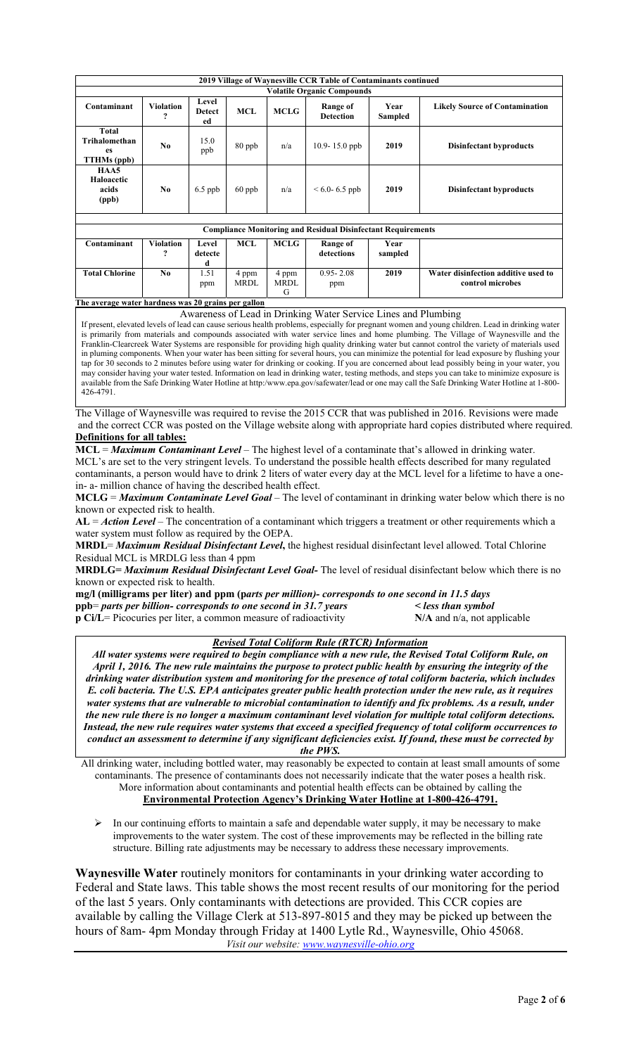|                                                           |                                             |                              |                      |                           | 2019 Village of Waynesville CCR Table of Contaminants continued     |                 |                                                         |  |  |  |  |
|-----------------------------------------------------------|---------------------------------------------|------------------------------|----------------------|---------------------------|---------------------------------------------------------------------|-----------------|---------------------------------------------------------|--|--|--|--|
| <b>Volatile Organic Compounds</b>                         |                                             |                              |                      |                           |                                                                     |                 |                                                         |  |  |  |  |
| Contaminant                                               | <b>Violation</b><br>9                       | Level<br><b>Detect</b><br>ed | <b>MCL</b>           | <b>MCLG</b>               | Range of<br><b>Detection</b>                                        | Year<br>Sampled | <b>Likely Source of Contamination</b>                   |  |  |  |  |
| <b>Total</b><br>Trihalomethan<br>es<br><b>TTHMs (ppb)</b> | No.                                         | 15.0<br>ppb                  | 80 ppb               | n/a                       | 10.9-15.0 ppb                                                       | 2019            | <b>Disinfectant byproducts</b>                          |  |  |  |  |
| HAA5<br>Haloacetic<br>acids<br>(ppb)                      | No                                          | $6.5$ ppb                    | $60$ ppb             | n/a                       | $< 6.0 - 6.5$ ppb                                                   | 2019            | <b>Disinfectant byproducts</b>                          |  |  |  |  |
|                                                           |                                             |                              |                      |                           |                                                                     |                 |                                                         |  |  |  |  |
|                                                           |                                             |                              |                      |                           | <b>Compliance Monitoring and Residual Disinfectant Requirements</b> |                 |                                                         |  |  |  |  |
| Contaminant                                               | <b>Violation</b><br>$\overline{\mathbf{?}}$ | Level<br>detecte<br>d        | <b>MCL</b>           | <b>MCLG</b>               | Range of<br>detections                                              | Year<br>sampled |                                                         |  |  |  |  |
| <b>Total Chlorine</b>                                     | No                                          | 1.51<br>ppm                  | 4 ppm<br><b>MRDL</b> | 4 ppm<br><b>MRDL</b><br>G | $0.95 - 2.08$<br>ppm                                                | 2019            | Water disinfection additive used to<br>control microbes |  |  |  |  |

#### **The average water hardness was 20 grains per gallon**

Awareness of Lead in Drinking Water Service Lines and Plumbing

If present, elevated levels of lead can cause serious health problems, especially for pregnant women and young children. Lead in drinking water is primarily from materials and compounds associated with water service lines and home plumbing. The Village of Waynesville and the Franklin-Clearcreek Water Systems are responsible for providing high quality drinking water but cannot control the variety of materials used in pluming components. When your water has been sitting for several hours, you can minimize the potential for lead exposure by flushing your tap for 30 seconds to 2 minutes before using water for drinking or cooking. If you are concerned about lead possibly being in your water, you may consider having your water tested. Information on lead in drinking water, testing methods, and steps you can take to minimize exposure is available from the Safe Drinking Water Hotline at http:/www.epa.gov/safewater/lead or one may call the Safe Drinking Water Hotline at 1-800- 426-4791.

The Village of Waynesville was required to revise the 2015 CCR that was published in 2016. Revisions were made and the correct CCR was posted on the Village website along with appropriate hard copies distributed where required. **Definitions for all tables:** 

**MCL** = *Maximum Contaminant Level* – The highest level of a contaminate that's allowed in drinking water. MCL's are set to the very stringent levels. To understand the possible health effects described for many regulated contaminants, a person would have to drink 2 liters of water every day at the MCL level for a lifetime to have a onein- a- million chance of having the described health effect.

**MCLG** = *Maximum Contaminate Level Goal –* The level of contaminant in drinking water below which there is no known or expected risk to health.

**AL** = *Action Level* – The concentration of a contaminant which triggers a treatment or other requirements which a water system must follow as required by the OEPA.

**MRDL**= *Maximum Residual Disinfectant Level***,** the highest residual disinfectant level allowed. Total Chlorine Residual MCL is MRDLG less than 4 ppm

**MRDLG=** *Maximum Residual Disinfectant Level Goal-* The level of residual disinfectant below which there is no known or expected risk to health.

**mg/l (milligrams per liter) and ppm (p***arts per million)- corresponds to one second in 11.5 days*  **ppb**= *parts per billion- corresponds to one second in 31.7 years < less than symbol*  **p Ci/L**= Picocuries per liter, a common measure of radioactivity **N/A** and n/a, not applicable

#### *Revised Total Coliform Rule (RTCR) Information*

*All water systems were required to begin compliance with a new rule, the Revised Total Coliform Rule, on April 1, 2016. The new rule maintains the purpose to protect public health by ensuring the integrity of the drinking water distribution system and monitoring for the presence of total coliform bacteria, which includes E. coli bacteria. The U.S. EPA anticipates greater public health protection under the new rule, as it requires water systems that are vulnerable to microbial contamination to identify and fix problems. As a result, under the new rule there is no longer a maximum contaminant level violation for multiple total coliform detections. Instead, the new rule requires water systems that exceed a specified frequency of total coliform occurrences to conduct an assessment to determine if any significant deficiencies exist. If found, these must be corrected by the PWS.* 

All drinking water, including bottled water, may reasonably be expected to contain at least small amounts of some contaminants. The presence of contaminants does not necessarily indicate that the water poses a health risk. More information about contaminants and potential health effects can be obtained by calling the **Environmental Protection Agency's Drinking Water Hotline at 1-800-426-4791.** 

 $\triangleright$  In our continuing efforts to maintain a safe and dependable water supply, it may be necessary to make improvements to the water system. The cost of these improvements may be reflected in the billing rate structure. Billing rate adjustments may be necessary to address these necessary improvements.

**Waynesville Water** routinely monitors for contaminants in your drinking water according to Federal and State laws. This table shows the most recent results of our monitoring for the period of the last 5 years. Only contaminants with detections are provided. This CCR copies are available by calling the Village Clerk at 513-897-8015 and they may be picked up between the hours of 8am- 4pm Monday through Friday at 1400 Lytle Rd., Waynesville, Ohio 45068. *Visit our website: www.waynesville-ohio.org*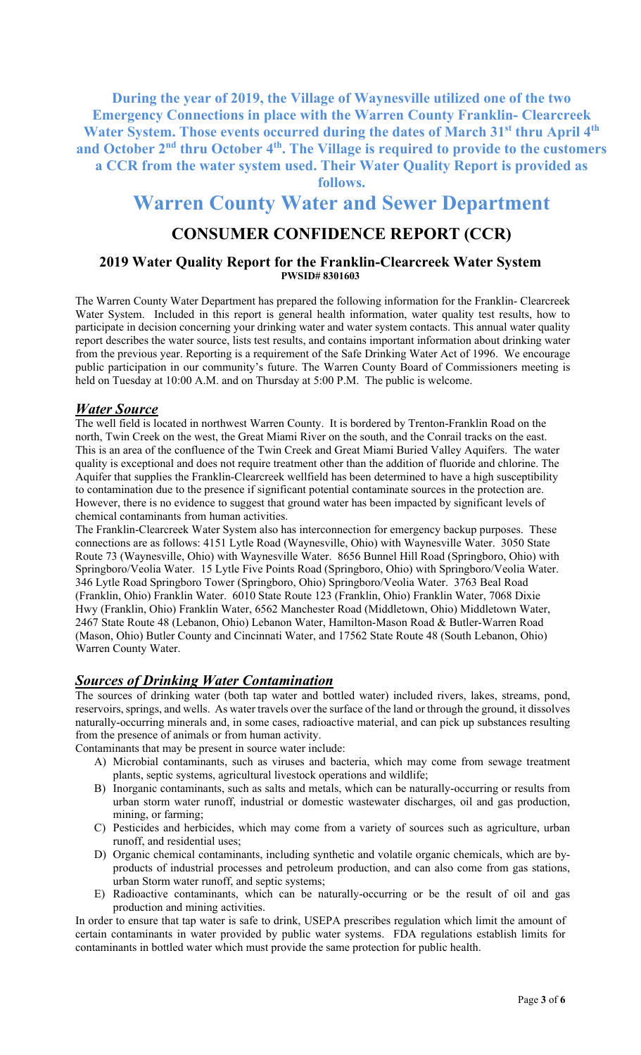**During the year of 2019, the Village of Waynesville utilized one of the two Emergency Connections in place with the Warren County Franklin- Clearcreek Water System. Those events occurred during the dates of March 31st thru April 4th** and October 2<sup>nd</sup> thru October 4<sup>th</sup>. The Village is required to provide to the customers **a CCR from the water system used. Their Water Quality Report is provided as** 

**follows.**

# **Warren County Water and Sewer Department**

# **CONSUMER CONFIDENCE REPORT (CCR)**

#### **2019 Water Quality Report for the Franklin-Clearcreek Water System PWSID# 8301603**

The Warren County Water Department has prepared the following information for the Franklin- Clearcreek Water System. Included in this report is general health information, water quality test results, how to participate in decision concerning your drinking water and water system contacts. This annual water quality report describes the water source, lists test results, and contains important information about drinking water from the previous year. Reporting is a requirement of the Safe Drinking Water Act of 1996. We encourage public participation in our community's future. The Warren County Board of Commissioners meeting is held on Tuesday at 10:00 A.M. and on Thursday at 5:00 P.M. The public is welcome.

## *Water Source*

The well field is located in northwest Warren County. It is bordered by Trenton-Franklin Road on the north, Twin Creek on the west, the Great Miami River on the south, and the Conrail tracks on the east. This is an area of the confluence of the Twin Creek and Great Miami Buried Valley Aquifers. The water quality is exceptional and does not require treatment other than the addition of fluoride and chlorine. The Aquifer that supplies the Franklin-Clearcreek wellfield has been determined to have a high susceptibility to contamination due to the presence if significant potential contaminate sources in the protection are. However, there is no evidence to suggest that ground water has been impacted by significant levels of chemical contaminants from human activities.

The Franklin-Clearcreek Water System also has interconnection for emergency backup purposes. These connections are as follows: 4151 Lytle Road (Waynesville, Ohio) with Waynesville Water. 3050 State Route 73 (Waynesville, Ohio) with Waynesville Water. 8656 Bunnel Hill Road (Springboro, Ohio) with Springboro/Veolia Water. 15 Lytle Five Points Road (Springboro, Ohio) with Springboro/Veolia Water. 346 Lytle Road Springboro Tower (Springboro, Ohio) Springboro/Veolia Water. 3763 Beal Road (Franklin, Ohio) Franklin Water. 6010 State Route 123 (Franklin, Ohio) Franklin Water, 7068 Dixie Hwy (Franklin, Ohio) Franklin Water, 6562 Manchester Road (Middletown, Ohio) Middletown Water, 2467 State Route 48 (Lebanon, Ohio) Lebanon Water, Hamilton-Mason Road & Butler-Warren Road (Mason, Ohio) Butler County and Cincinnati Water, and 17562 State Route 48 (South Lebanon, Ohio) Warren County Water.

# *Sources of Drinking Water Contamination*

The sources of drinking water (both tap water and bottled water) included rivers, lakes, streams, pond, reservoirs, springs, and wells. As water travels over the surface of the land or through the ground, it dissolves naturally-occurring minerals and, in some cases, radioactive material, and can pick up substances resulting from the presence of animals or from human activity.

Contaminants that may be present in source water include:

- A) Microbial contaminants, such as viruses and bacteria, which may come from sewage treatment plants, septic systems, agricultural livestock operations and wildlife;
- B) Inorganic contaminants, such as salts and metals, which can be naturally-occurring or results from urban storm water runoff, industrial or domestic wastewater discharges, oil and gas production, mining, or farming;
- C) Pesticides and herbicides, which may come from a variety of sources such as agriculture, urban runoff, and residential uses;
- D) Organic chemical contaminants, including synthetic and volatile organic chemicals, which are byproducts of industrial processes and petroleum production, and can also come from gas stations, urban Storm water runoff, and septic systems;
- E) Radioactive contaminants, which can be naturally-occurring or be the result of oil and gas production and mining activities.

In order to ensure that tap water is safe to drink, USEPA prescribes regulation which limit the amount of certain contaminants in water provided by public water systems. FDA regulations establish limits for contaminants in bottled water which must provide the same protection for public health.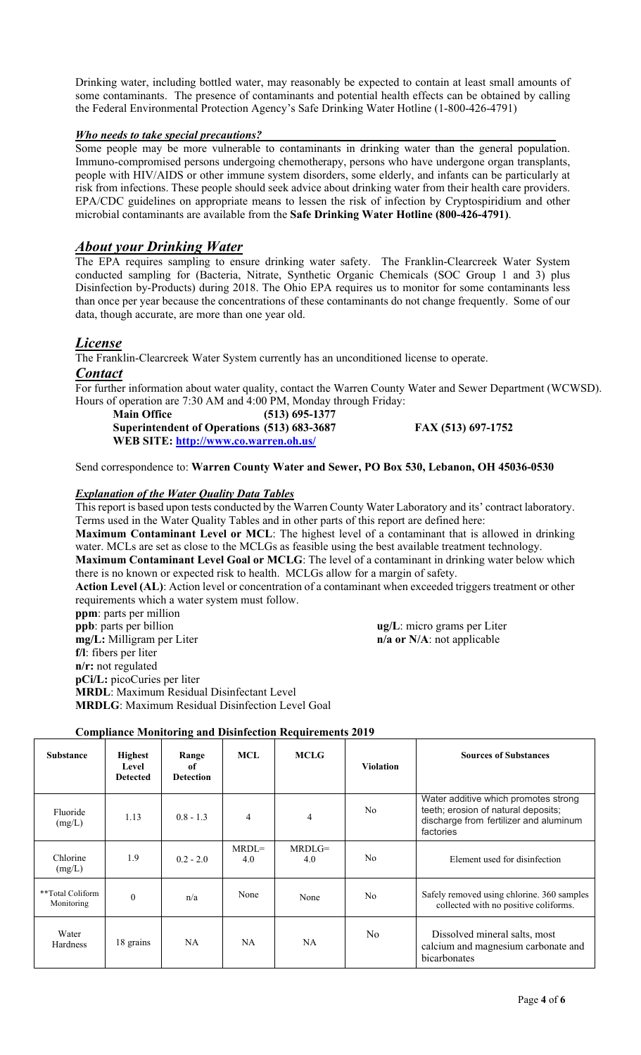Drinking water, including bottled water, may reasonably be expected to contain at least small amounts of some contaminants. The presence of contaminants and potential health effects can be obtained by calling the Federal Environmental Protection Agency's Safe Drinking Water Hotline (1-800-426-4791)

#### *Who needs to take special precautions?*

Some people may be more vulnerable to contaminants in drinking water than the general population. Immuno-compromised persons undergoing chemotherapy, persons who have undergone organ transplants, people with HIV/AIDS or other immune system disorders, some elderly, and infants can be particularly at risk from infections. These people should seek advice about drinking water from their health care providers. EPA/CDC guidelines on appropriate means to lessen the risk of infection by Cryptospiridium and other microbial contaminants are available from the **Safe Drinking Water Hotline (800-426-4791)**.

# *About your Drinking Water*

The EPA requires sampling to ensure drinking water safety. The Franklin-Clearcreek Water System conducted sampling for (Bacteria, Nitrate, Synthetic Organic Chemicals (SOC Group 1 and 3) plus Disinfection by-Products) during 2018. The Ohio EPA requires us to monitor for some contaminants less than once per year because the concentrations of these contaminants do not change frequently. Some of our data, though accurate, are more than one year old.

# *License*

The Franklin-Clearcreek Water System currently has an unconditioned license to operate.

#### *Contact*

For further information about water quality, contact the Warren County Water and Sewer Department (WCWSD). Hours of operation are 7:30 AM and 4:00 PM, Monday through Friday:

 **Main Office (513) 695-1377 Superintendent of Operations (513) 683-3687 FAX (513) 697-1752 WEB SITE: http://www.co.warren.oh.us/**

Send correspondence to: **Warren County Water and Sewer, PO Box 530, Lebanon, OH 45036-0530** 

#### *Explanation of the Water Quality Data Tables*

This report is based upon tests conducted by the Warren County Water Laboratory and its' contract laboratory. Terms used in the Water Quality Tables and in other parts of this report are defined here:

**Maximum Contaminant Level or MCL**: The highest level of a contaminant that is allowed in drinking water. MCLs are set as close to the MCLGs as feasible using the best available treatment technology. **Maximum Contaminant Level Goal or MCLG**: The level of a contaminant in drinking water below which there is no known or expected risk to health. MCLGs allow for a margin of safety.

**Action Level (AL)**: Action level or concentration of a contaminant when exceeded triggers treatment or other requirements which a water system must follow.

**ppm**: parts per million **ppb**: parts per billion **ug/L**: micro grams per Liter **mg/L:** Milligram per Liter **n/a or N/A**: not applicable **f/l**: fibers per liter **n/r:** not regulated **pCi/L:** picoCuries per liter **MRDL**: Maximum Residual Disinfectant Level **MRDLG**: Maximum Residual Disinfection Level Goal

#### **Compliance Monitoring and Disinfection Requirements 2019**

| <b>Substance</b>               | <b>Highest</b><br>Level<br><b>Detected</b> | Range<br>0f<br><b>Detection</b> | MCL            | <b>MCLG</b>     | <b>Violation</b> | <b>Sources of Substances</b>                                                                                                       |
|--------------------------------|--------------------------------------------|---------------------------------|----------------|-----------------|------------------|------------------------------------------------------------------------------------------------------------------------------------|
| Fluoride<br>(mg/L)             | 1.13                                       | $0.8 - 1.3$                     | $\overline{4}$ | 4               | N <sub>0</sub>   | Water additive which promotes strong<br>teeth; erosion of natural deposits;<br>discharge from fertilizer and aluminum<br>factories |
| Chlorine<br>(mg/L)             | 1.9                                        | $0.2 - 2.0$                     | $MRDL=$<br>4.0 | $MRDLG=$<br>4.0 | N <sub>0</sub>   | Element used for disinfection                                                                                                      |
| **Total Coliform<br>Monitoring | $\theta$                                   | n/a                             | None           | None            | N <sub>0</sub>   | Safely removed using chlorine. 360 samples<br>collected with no positive coliforms.                                                |
| Water<br><b>Hardness</b>       | 18 grains                                  | <b>NA</b>                       | NA.            | NA.             | No.              | Dissolved mineral salts, most<br>calcium and magnesium carbonate and<br>bicarbonates                                               |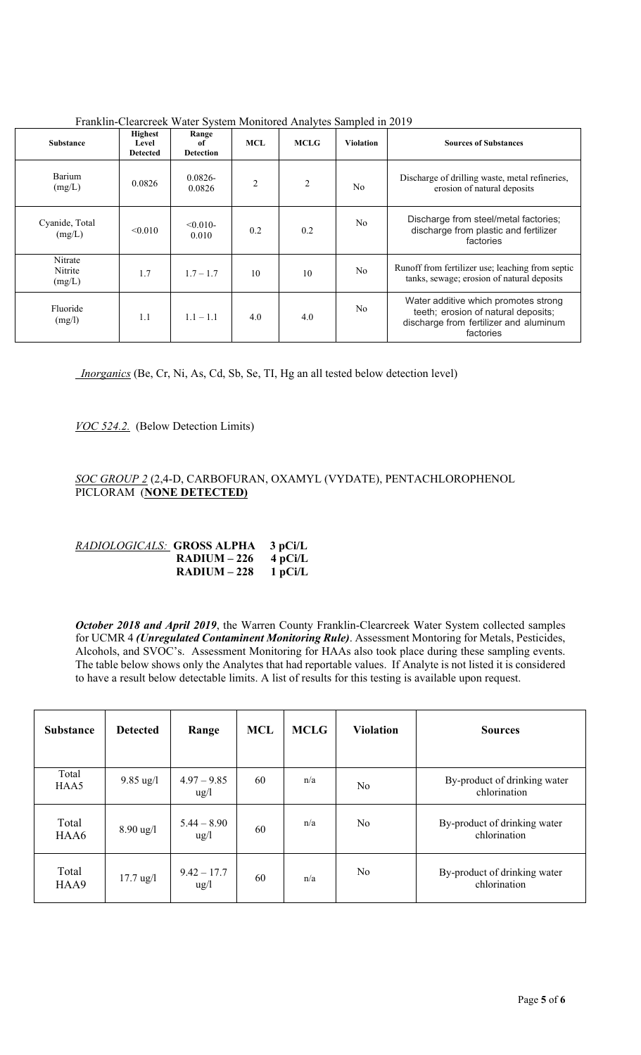| Substance                    | <b>Highest</b><br>Level<br><b>Detected</b> | Range<br>of<br><b>Detection</b> | <b>MCL</b>     | <b>MCLG</b> | <b>Violation</b> | <b>Sources of Substances</b>                                                                                                       |  |
|------------------------------|--------------------------------------------|---------------------------------|----------------|-------------|------------------|------------------------------------------------------------------------------------------------------------------------------------|--|
| Barium<br>(mg/L)             | 0.0826                                     | $0.0826 -$<br>0.0826            | $\overline{2}$ | 2           | N <sub>0</sub>   | Discharge of drilling waste, metal refineries,<br>erosion of natural deposits                                                      |  |
| Cyanide, Total<br>(mg/L)     | < 0.010                                    | $< 0.010 -$<br>0.010            | 0.2            | 0.2         | N <sub>o</sub>   | Discharge from steel/metal factories;<br>discharge from plastic and fertilizer<br>factories                                        |  |
| Nitrate<br>Nitrite<br>(mg/L) | 1.7                                        | $1.7 - 1.7$                     | 10             | 10          | No               | Runoff from fertilizer use; leaching from septic<br>tanks, sewage; erosion of natural deposits                                     |  |
| Fluoride<br>(mg/l)           | 1.1                                        | $1.1 - 1.1$                     | 4.0            | 4.0         | N <sub>o</sub>   | Water additive which promotes strong<br>teeth; erosion of natural deposits;<br>discharge from fertilizer and aluminum<br>factories |  |

Franklin-Clearcreek Water System Monitored Analytes Sampled in 2019

 *Inorganics* (Be, Cr, Ni, As, Cd, Sb, Se, TI, Hg an all tested below detection level)

*VOC 524.2.* (Below Detection Limits)

## *SOC GROUP 2* (2,4-D, CARBOFURAN, OXAMYL (VYDATE), PENTACHLOROPHENOL PICLORAM (**NONE DETECTED)**

| RADIOLOGICALS: <b>GROSS ALPHA</b> |              | $3$ pCi/L |
|-----------------------------------|--------------|-----------|
|                                   | $RADIUM-226$ | 4 pCi/L   |
|                                   | $RADIUM-228$ | 1 pCi/L   |

*October 2018 and April 2019*, the Warren County Franklin-Clearcreek Water System collected samples for UCMR 4 *(Unregulated Contaminent Monitoring Rule)*. Assessment Montoring for Metals, Pesticides, Alcohols, and SVOC's. Assessment Monitoring for HAAs also took place during these sampling events. The table below shows only the Analytes that had reportable values. If Analyte is not listed it is considered to have a result below detectable limits. A list of results for this testing is available upon request.

| <b>Substance</b> | <b>Detected</b>     | Range                            | <b>MCL</b> | <b>MCLG</b> | <b>Violation</b> | <b>Sources</b>                               |
|------------------|---------------------|----------------------------------|------------|-------------|------------------|----------------------------------------------|
| Total<br>HAA5    | $9.85 \text{ ug}/1$ | $4.97 - 9.85$<br>$\frac{u g}{l}$ | 60         | n/a         | N <sub>o</sub>   | By-product of drinking water<br>chlorination |
| Total<br>HAA6    | $8.90 \text{ ug}/1$ | $5.44 - 8.90$<br>$\frac{u g}{l}$ | 60         | n/a         | N <sub>0</sub>   | By-product of drinking water<br>chlorination |
| Total<br>HAA9    | $17.7 \text{ ug}/1$ | $9.42 - 17.7$<br>$\frac{u g}{l}$ | 60         | n/a         | N <sub>0</sub>   | By-product of drinking water<br>chlorination |